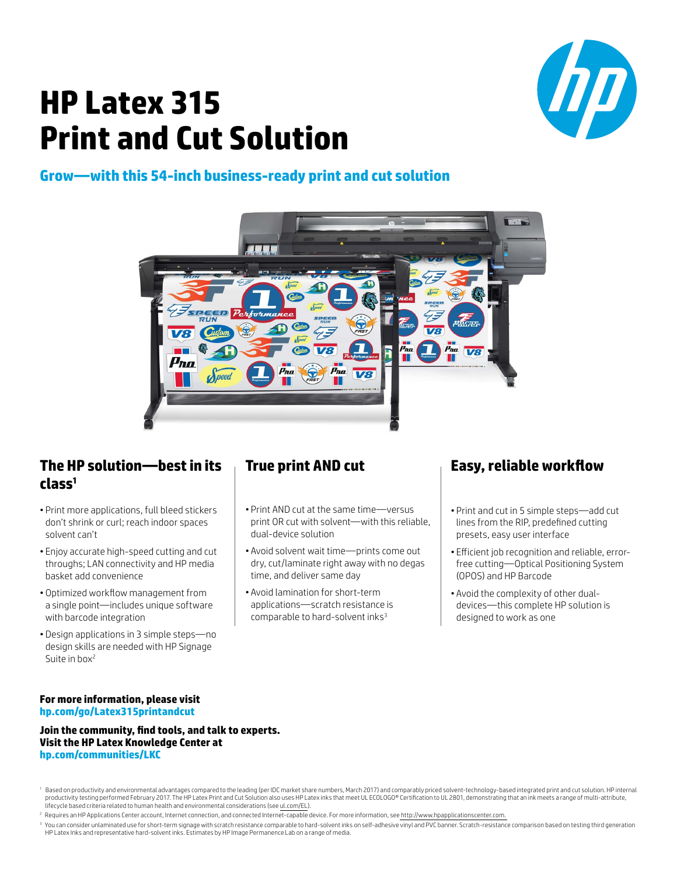# $\boldsymbol{D}$

# **HP Latex 315 Print and Cut Solution**

## **Grow—with this 54-inch business-ready print and cut solution**



### **The HP solution—best in its class1**

- Print more applications, full bleed stickers don't shrink or curl; reach indoor spaces solvent can't
- Enjoy accurate high-speed cutting and cut throughs; LAN connectivity and HP media basket add convenience
- Optimized workflow management from a single point—includes unique software with barcode integration
- Design applications in 3 simple steps—no design skills are needed with HP Signage Suite in box<sup>2</sup>

# **True print AND cut**

- Print AND cut at the same time—versus print OR cut with solvent—with this reliable, dual-device solution
- Avoid solvent wait time—prints come out dry, cut/laminate right away with no degas time, and deliver same day
- Avoid lamination for short-term applications—scratch resistance is comparable to hard-solvent inks<sup>3</sup>

# **Easy, reliable workflow**

- Print and cut in 5 simple steps—add cut lines from the RIP, predefined cutting presets, easy user interface
- Efficient job recognition and reliable, errorfree cutting—Optical Positioning System (OPOS) and HP Barcode
- Avoid the complexity of other dualdevices—this complete HP solution is designed to work as one

#### **For more information, please visit hp.com/go/Latex315printandcut**

**Join the community, find tools, and talk to experts. Visit the HP Latex Knowledge Center at hp.com/communities/LKC**

<sup>2</sup> Requires an HP Applications Center account, Internet connection, and connected Internet-capable device. For more information, see http://www.hpapplicationscenter.com.

<sup>1</sup> Based on productivity and environmental advantages compared to the leading (per IDC market share numbers, March 2017) and comparably priced solvent-technology-based integrated print and cut solution. HP internal productivity testing performed February 2017. The HP Latex Print and Cut Solution also uses HP Latex inks that meet UL ECOLOGO® Certification to UL 2801, demonstrating that an ink meets a range of multi-attribute, lifecycle based criteria related to human health and environmental considerations (see ul.com/EL).

<sup>&</sup>lt;sup>3</sup> You can consider unlaminated use for short-term signage with scratch resistance comparable to hard-solvent inks on self-adhesive vinyl and PVC banner. Scratch-resistance comparison based on testing third generation HP Latex Inks and representative hard-solvent inks. Estimates by HP Image Permanence Lab on a range of media.